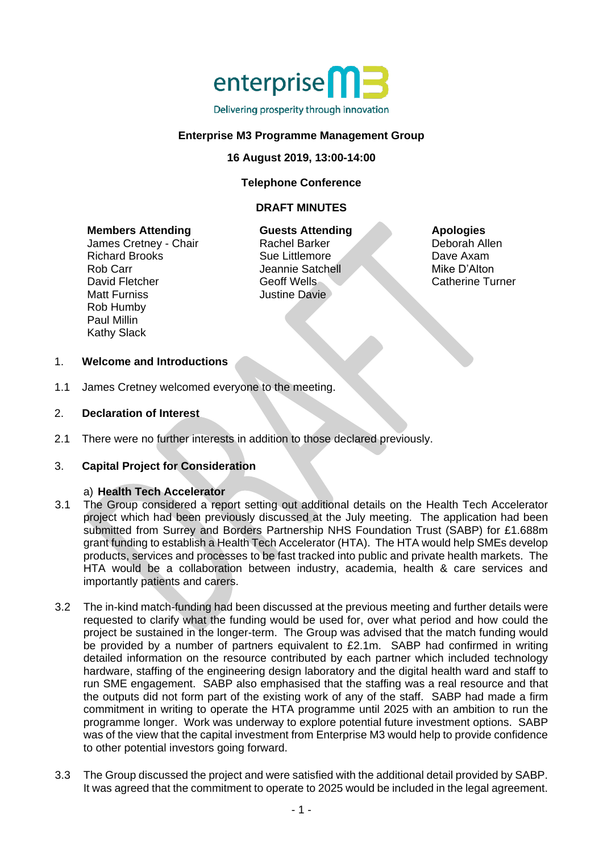

## **Enterprise M3 Programme Management Group**

### **16 August 2019, 13:00-14:00**

### **Telephone Conference**

### **DRAFT MINUTES**

#### **Members Attending**

James Cretney - Chair Richard Brooks Rob Carr David Fletcher Matt Furniss Rob Humby Paul Millin Kathy Slack

**Guests Attending** Rachel Barker Sue Littlemore Jeannie Satchell Geoff Wells Justine Davie

#### **Apologies**

Deborah Allen Dave Axam Mike D'Alton Catherine Turner

### 1. **Welcome and Introductions**

- 1.1 James Cretney welcomed everyone to the meeting.
- 2. **Declaration of Interest**
- 2.1 There were no further interests in addition to those declared previously.

#### 3. **Capital Project for Consideration**

#### a) **Health Tech Accelerator**

- 3.1 The Group considered a report setting out additional details on the Health Tech Accelerator project which had been previously discussed at the July meeting. The application had been submitted from Surrey and Borders Partnership NHS Foundation Trust (SABP) for £1.688m grant funding to establish a Health Tech Accelerator (HTA). The HTA would help SMEs develop products, services and processes to be fast tracked into public and private health markets. The HTA would be a collaboration between industry, academia, health & care services and importantly patients and carers.
- 3.2 The in-kind match-funding had been discussed at the previous meeting and further details were requested to clarify what the funding would be used for, over what period and how could the project be sustained in the longer-term. The Group was advised that the match funding would be provided by a number of partners equivalent to £2.1m. SABP had confirmed in writing detailed information on the resource contributed by each partner which included technology hardware, staffing of the engineering design laboratory and the digital health ward and staff to run SME engagement. SABP also emphasised that the staffing was a real resource and that the outputs did not form part of the existing work of any of the staff. SABP had made a firm commitment in writing to operate the HTA programme until 2025 with an ambition to run the programme longer. Work was underway to explore potential future investment options. SABP was of the view that the capital investment from Enterprise M3 would help to provide confidence to other potential investors going forward.
- 3.3 The Group discussed the project and were satisfied with the additional detail provided by SABP. It was agreed that the commitment to operate to 2025 would be included in the legal agreement.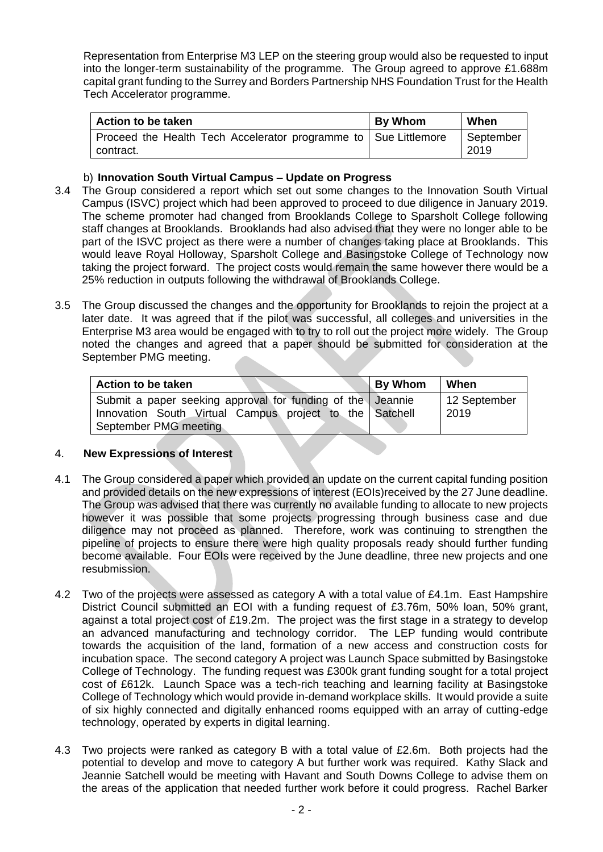Representation from Enterprise M3 LEP on the steering group would also be requested to input into the longer-term sustainability of the programme. The Group agreed to approve £1.688m capital grant funding to the Surrey and Borders Partnership NHS Foundation Trust for the Health Tech Accelerator programme.

| Action to be taken                                                           | <b>By Whom</b> | When              |
|------------------------------------------------------------------------------|----------------|-------------------|
| Proceed the Health Tech Accelerator programme to Sue Littlemore<br>contract. |                | September<br>2019 |

## b) **Innovation South Virtual Campus – Update on Progress**

- 3.4 The Group considered a report which set out some changes to the Innovation South Virtual Campus (ISVC) project which had been approved to proceed to due diligence in January 2019. The scheme promoter had changed from Brooklands College to Sparsholt College following staff changes at Brooklands. Brooklands had also advised that they were no longer able to be part of the ISVC project as there were a number of changes taking place at Brooklands. This would leave Royal Holloway, Sparsholt College and Basingstoke College of Technology now taking the project forward. The project costs would remain the same however there would be a 25% reduction in outputs following the withdrawal of Brooklands College.
- 3.5 The Group discussed the changes and the opportunity for Brooklands to rejoin the project at a later date. It was agreed that if the pilot was successful, all colleges and universities in the Enterprise M3 area would be engaged with to try to roll out the project more widely. The Group noted the changes and agreed that a paper should be submitted for consideration at the September PMG meeting.

| Action to be taken                                                                                                                             | <b>By Whom</b> | When                 |
|------------------------------------------------------------------------------------------------------------------------------------------------|----------------|----------------------|
| Submit a paper seeking approval for funding of the Jeannie<br>Innovation South Virtual Campus project to the Satchell<br>September PMG meeting |                | 12 September<br>2019 |

# 4. **New Expressions of Interest**

- 4.1 The Group considered a paper which provided an update on the current capital funding position and provided details on the new expressions of interest (EOIs)received by the 27 June deadline. The Group was advised that there was currently no available funding to allocate to new projects however it was possible that some projects progressing through business case and due diligence may not proceed as planned. Therefore, work was continuing to strengthen the pipeline of projects to ensure there were high quality proposals ready should further funding become available. Four EOIs were received by the June deadline, three new projects and one resubmission.
- 4.2 Two of the projects were assessed as category A with a total value of £4.1m. East Hampshire District Council submitted an EOI with a funding request of £3.76m, 50% loan, 50% grant, against a total project cost of £19.2m. The project was the first stage in a strategy to develop an advanced manufacturing and technology corridor. The LEP funding would contribute towards the acquisition of the land, formation of a new access and construction costs for incubation space. The second category A project was Launch Space submitted by Basingstoke College of Technology. The funding request was £300k grant funding sought for a total project cost of £612k. Launch Space was a tech-rich teaching and learning facility at Basingstoke College of Technology which would provide in-demand workplace skills. It would provide a suite of six highly connected and digitally enhanced rooms equipped with an array of cutting-edge technology, operated by experts in digital learning.
- 4.3 Two projects were ranked as category B with a total value of £2.6m. Both projects had the potential to develop and move to category A but further work was required. Kathy Slack and Jeannie Satchell would be meeting with Havant and South Downs College to advise them on the areas of the application that needed further work before it could progress. Rachel Barker